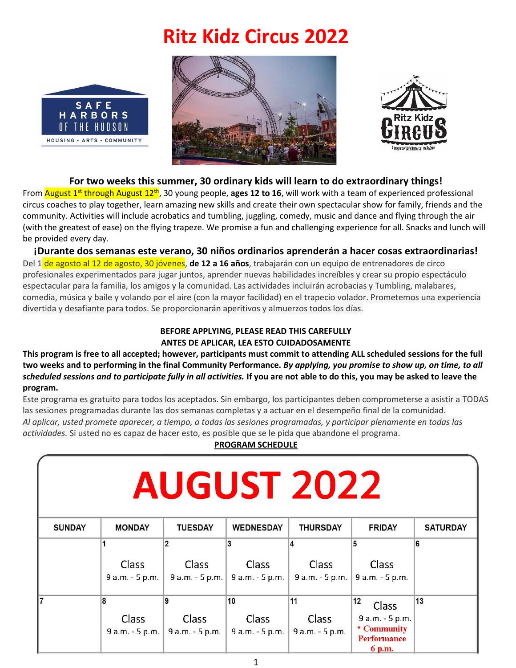# **Ritz Kidz Circus 2022**







#### **For two weeks this summer, 30 ordinary kids will learn to do extraordinary things!**

From <mark>August 1<sup>st</sup> through August 12<sup>th</sup>, 30 young people, **ages 12 to 16**, will work with a team of experienced professional</mark> circus coaches to play together, learn amazing new skills and create their own spectacular show for family, friends and the community. Activities will include acrobatics and tumbling, juggling, comedy, music and dance and flying through the air (with the greatest of ease) on the flying trapeze. We promise a fun and challenging experience for all. Snacks and lunch will be provided every day.

**¡Durante dos semanas este verano, 30 niños ordinarios aprenderán a hacer cosas extraordinarias!** Del 1 de agosto al 12 de agosto, 30 jóvenes, **de 12 a 16 años**, trabajarán con un equipo de entrenadores de circo profesionales experimentados para jugar juntos, aprender nuevas habilidades increíbles y crear su propio espectáculo espectacular para la familia, los amigos y la comunidad. Las actividades incluirán acrobacias y Tumbling, malabares, comedia, música y baile y volando por el aire (con la mayor facilidad) en el trapecio volador. Prometemos una experiencia divertida y desafiante para todos. Se proporcionarán aperitivos y almuerzos todos los días.

#### **BEFORE APPLYING, PLEASE READ THIS CAREFULLY ANTES DE APLICAR, LEA ESTO CUIDADOSAMENTE**

**This program is free to all accepted; however, participants must commit to attending ALL scheduled sessions for the full two weeks and to performing in the final Community Performance.** *By applying, you promise to show up, on time, to all scheduled sessions and to participate fully in all activities.* **If you are not able to do this, you may be asked to leave the program.**

Este programa es gratuito para todos los aceptados. Sin embargo, los participantes deben comprometerse a asistir a TODAS las sesiones programadas durante las dos semanas completas y a actuar en el desempeño final de la comunidad. *Al aplicar, usted promete aparecer, a tiempo, a todas las sesiones programadas, y participar plenamente en todas las actividades.* Si usted no es capaz de hacer esto, es posible que se le pida que abandone el programa.

#### **PROGRAM SCHEDULE**

| <b>AUGUST 2022</b> |                 |                 |                   |                 |                                                     |                 |
|--------------------|-----------------|-----------------|-------------------|-----------------|-----------------------------------------------------|-----------------|
| <b>SUNDAY</b>      | <b>MONDAY</b>   | <b>TUESDAY</b>  | <b>WEDNESDAY</b>  | <b>THURSDAY</b> | <b>FRIDAY</b>                                       | <b>SATURDAY</b> |
|                    |                 |                 | 3                 | 4               | 5                                                   | 6               |
|                    | Class           | <b>Class</b>    | <b>Class</b>      | Class           | <b>Class</b>                                        |                 |
|                    | 9 a.m. - 5 p.m. | 9 a.m. - 5 p.m. | 9 a.m. - 5 p.m.   | 9 a.m. - 5 p.m. | 9 a.m. - 5 p.m.                                     |                 |
| l7                 | 8               | 9               | 10                | 11              | 12<br>Class                                         | 13              |
|                    | <b>Class</b>    | <b>Class</b>    | Class             | Class           | 9 a.m. - 5 p.m.                                     |                 |
|                    | 9 a.m. - 5 p.m. | 9 a.m. - 5 p.m. | $9$ a.m. - 5 p.m. | 9 a.m. - 5 p.m. | * Community<br><b>Performance</b><br>6 <sub>m</sub> |                 |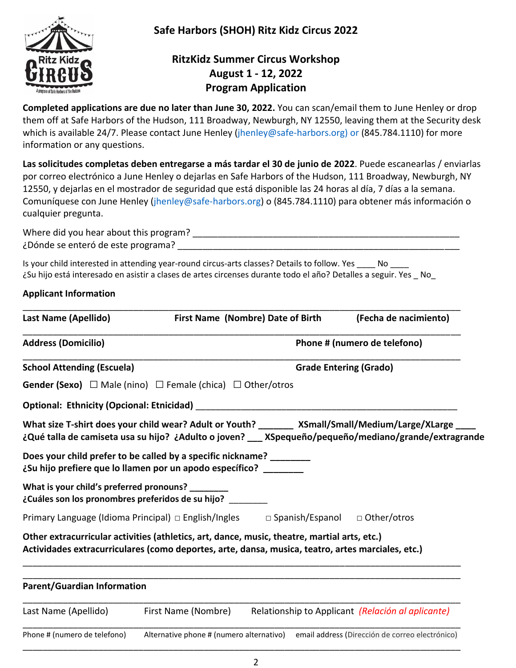

**Safe Harbors (SHOH) Ritz Kidz Circus 2022**

# **RitzKidz Summer Circus Workshop August 1 - 12, 2022 Program Application**

**Completed applications are due no later than June 30, 2022.** You can scan/email them to June Henley or drop them off at Safe Harbors of the Hudson, 111 Broadway, Newburgh, NY 12550, leaving them at the Security desk which is available 24/7. Please contact June Henley [\(jhenley@safe-harbors.org\)](mailto:jhenley@safe-harbors.org) or (845.784.1110) for more information or any questions.

**Las solicitudes completas deben entregarse a más tardar el 30 de junio de 2022**. Puede escanearlas / enviarlas por correo electrónico a June Henley o dejarlas en Safe Harbors of the Hudson, 111 Broadway, Newburgh, NY 12550, y dejarlas en el mostrador de seguridad que está disponible las 24 horas al día, 7 días a la semana. Comuníquese con June Henley (jhenley@safe-harbors.org) o (845.784.1110) para obtener más información o cualquier pregunta.

Where did you hear about this program? \_\_\_\_\_\_\_\_\_\_\_\_\_\_\_\_\_\_\_\_\_\_\_\_\_\_\_\_\_\_\_\_\_\_\_\_\_\_\_\_\_\_\_\_\_\_\_\_\_\_\_\_\_ ¿Dónde se enteró de este programa? \_\_\_\_\_\_\_\_\_\_\_\_\_\_\_\_\_\_\_\_\_\_\_\_\_\_\_\_\_\_\_\_\_\_\_\_\_\_\_\_\_\_\_\_\_\_\_\_\_\_\_\_\_\_\_\_

Is your child interested in attending year-round circus-arts classes? Details to follow. Yes \_\_\_\_ No ¿Su hijo está interesado en asistir a clases de artes circenses durante todo el año? Detalles a seguir. Yes \_ No\_

## **Applicant Information**

| <b>Last Name (Apellido)</b>                                                                            | First Name (Nombre) Date of Birth                                                                                                                                                                 | (Fecha de nacimiento)                                                                                |  |  |  |
|--------------------------------------------------------------------------------------------------------|---------------------------------------------------------------------------------------------------------------------------------------------------------------------------------------------------|------------------------------------------------------------------------------------------------------|--|--|--|
| <b>Address (Domicilio)</b>                                                                             |                                                                                                                                                                                                   | Phone # (numero de telefono)                                                                         |  |  |  |
| <b>School Attending (Escuela)</b>                                                                      |                                                                                                                                                                                                   | <b>Grade Entering (Grado)</b>                                                                        |  |  |  |
|                                                                                                        | <b>Gender (Sexo)</b> $\Box$ Male (nino) $\Box$ Female (chica) $\Box$ Other/otros                                                                                                                  |                                                                                                      |  |  |  |
| <b>Optional: Ethnicity (Opcional: Etnicidad)</b>                                                       |                                                                                                                                                                                                   |                                                                                                      |  |  |  |
|                                                                                                        | What size T-shirt does your child wear? Adult or Youth? XSmall/Small/Medium/Large/XLarge                                                                                                          | ¿Qué talla de camiseta usa su hijo? ¿Adulto o joven? __ XSpequeño/pequeño/mediano/grande/extragrande |  |  |  |
|                                                                                                        | Does your child prefer to be called by a specific nickname? ________<br>¿Su hijo prefiere que lo llamen por un apodo específico? _______                                                          |                                                                                                      |  |  |  |
| What is your child's preferred pronouns? ________<br>¿Cuáles son los pronombres preferidos de su hijo? |                                                                                                                                                                                                   |                                                                                                      |  |  |  |
| Primary Language (Idioma Principal) □ English/Ingles                                                   | $\Box$ Spanish/Espanol                                                                                                                                                                            | □ Other/otros                                                                                        |  |  |  |
|                                                                                                        | Other extracurricular activities (athletics, art, dance, music, theatre, martial arts, etc.)<br>Actividades extracurriculares (como deportes, arte, dansa, musica, teatro, artes marciales, etc.) |                                                                                                      |  |  |  |
| <b>Parent/Guardian Information</b>                                                                     |                                                                                                                                                                                                   |                                                                                                      |  |  |  |
| Last Name (Apellido)                                                                                   | First Name (Nombre)                                                                                                                                                                               | Relationship to Applicant (Relación al aplicante)                                                    |  |  |  |
| Phone # (numero de telefono)                                                                           | Alternative phone # (numero alternativo)                                                                                                                                                          | email address (Dirección de correo electrónico)                                                      |  |  |  |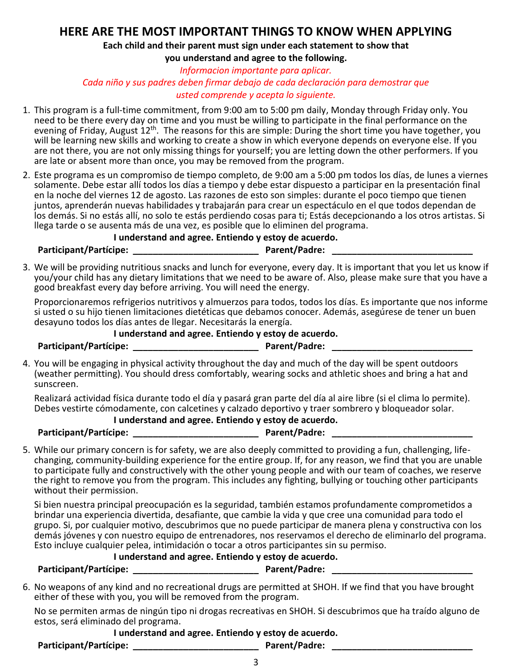# **HERE ARE THE MOST IMPORTANT THINGS TO KNOW WHEN APPLYING**

**Each child and their parent must sign under each statement to show that** 

**you understand and agree to the following.**

*Informacion importante para aplicar. Cada niño y sus padres deben firmar debajo de cada declaración para demostrar que usted comprende y acepta lo siguiente.*

- 1. This program is a full-time commitment, from 9:00 am to 5:00 pm daily, Monday through Friday only. You need to be there every day on time and you must be willing to participate in the final performance on the evening of Friday, August 12<sup>th</sup>. The reasons for this are simple: During the short time you have together, you will be learning new skills and working to create a show in which everyone depends on everyone else. If you are not there, you are not only missing things for yourself; you are letting down the other performers. If you are late or absent more than once, you may be removed from the program.
- 2. Este programa es un compromiso de tiempo completo, de 9:00 am a 5:00 pm todos los días, de lunes a viernes solamente. Debe estar allí todos los días a tiempo y debe estar dispuesto a participar en la presentación final en la noche del viernes 12 de agosto. Las razones de esto son simples: durante el poco tiempo que tienen juntos, aprenderán nuevas habilidades y trabajarán para crear un espectáculo en el que todos dependan de los demás. Si no estás allí, no solo te estás perdiendo cosas para ti; Estás decepcionando a los otros artistas. Si llega tarde o se ausenta más de una vez, es posible que lo eliminen del programa.

**I understand and agree. Entiendo y estoy de acuerdo.**

**Participant/Partícipe: \_\_\_\_\_\_\_\_\_\_\_\_\_\_\_\_\_\_\_\_\_\_\_\_\_ Parent/Padre: \_\_\_\_\_\_\_\_\_\_\_\_\_\_\_\_\_\_\_\_\_\_\_\_\_\_\_\_**

3. We will be providing nutritious snacks and lunch for everyone, every day. It is important that you let us know if you/your child has any dietary limitations that we need to be aware of. Also, please make sure that you have a good breakfast every day before arriving. You will need the energy.

Proporcionaremos refrigerios nutritivos y almuerzos para todos, todos los días. Es importante que nos informe si usted o su hijo tienen limitaciones dietéticas que debamos conocer. Además, asegúrese de tener un buen desayuno todos los días antes de llegar. Necesitarás la energía.

#### **I understand and agree. Entiendo y estoy de acuerdo.**

Participant/Partícipe: <u>Departicipe:</u> **Participant** Parent/Padre:

4. You will be engaging in physical activity throughout the day and much of the day will be spent outdoors (weather permitting). You should dress comfortably, wearing socks and athletic shoes and bring a hat and sunscreen.

Realizará actividad física durante todo el día y pasará gran parte del día al aire libre (si el clima lo permite). Debes vestirte cómodamente, con calcetines y calzado deportivo y traer sombrero y bloqueador solar.

**I understand and agree. Entiendo y estoy de acuerdo.**

Participant/Partícipe: <u>Departicipe:</u> **Participant** Parent/Padre:

5. While our primary concern is for safety, we are also deeply committed to providing a fun, challenging, lifechanging, community-building experience for the entire group. If, for any reason, we find that you are unable to participate fully and constructively with the other young people and with our team of coaches, we reserve the right to remove you from the program. This includes any fighting, bullying or touching other participants without their permission.

Si bien nuestra principal preocupación es la seguridad, también estamos profundamente comprometidos a brindar una experiencia divertida, desafiante, que cambie la vida y que cree una comunidad para todo el grupo. Si, por cualquier motivo, descubrimos que no puede participar de manera plena y constructiva con los demás jóvenes y con nuestro equipo de entrenadores, nos reservamos el derecho de eliminarlo del programa. Esto incluye cualquier pelea, intimidación o tocar a otros participantes sin su permiso.

#### **I understand and agree. Entiendo y estoy de acuerdo.**

**Participant/Partícipe: \_\_\_\_\_\_\_\_\_\_\_\_\_\_\_\_\_\_\_\_\_\_\_\_\_ Parent/Padre: \_\_\_\_\_\_\_\_\_\_\_\_\_\_\_\_\_\_\_\_\_\_\_\_\_\_\_\_**

6. No weapons of any kind and no recreational drugs are permitted at SHOH. If we find that you have brought either of these with you, you will be removed from the program.

No se permiten armas de ningún tipo ni drogas recreativas en SHOH. Si descubrimos que ha traído alguno de estos, será eliminado del programa.

## **I understand and agree. Entiendo y estoy de acuerdo.**

Participant/Partícipe: <u>Designed and the set of parent/Padre:</u>  $P$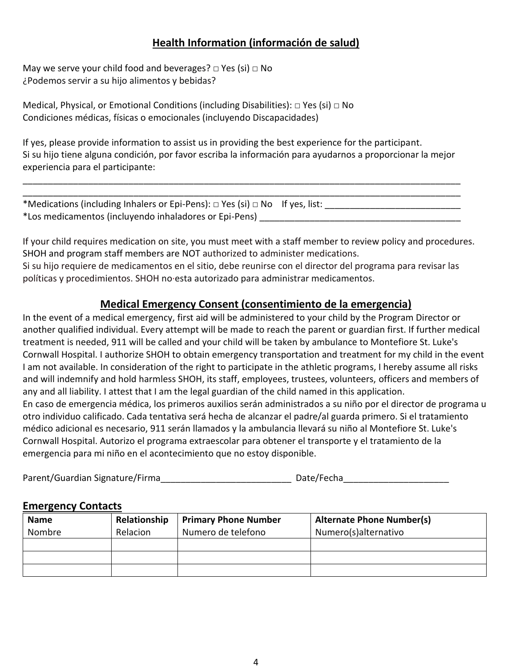# **Health Information (información de salud)**

May we serve your child food and beverages?  $\Box$  Yes (si)  $\Box$  No ¿Podemos servir a su hijo alimentos y bebidas?

Medical, Physical, or Emotional Conditions (including Disabilities):  $\Box$  Yes (si)  $\Box$  No Condiciones médicas, físicas o emocionales (incluyendo Discapacidades)

If yes, please provide information to assist us in providing the best experience for the participant. Si su hijo tiene alguna condición, por favor escriba la información para ayudarnos a proporcionar la mejor experiencia para el participante:

\_\_\_\_\_\_\_\_\_\_\_\_\_\_\_\_\_\_\_\_\_\_\_\_\_\_\_\_\_\_\_\_\_\_\_\_\_\_\_\_\_\_\_\_\_\_\_\_\_\_\_\_\_\_\_\_\_\_\_\_\_\_\_\_\_\_\_\_\_\_\_\_\_\_\_\_\_\_\_\_\_\_\_\_\_\_\_

| *Medications (including Inhalers or Epi-Pens): $\Box$ Yes (si) $\Box$ No If yes, list: |  |
|----------------------------------------------------------------------------------------|--|
| *Los medicamentos (incluyendo inhaladores or Epi-Pens)                                 |  |

If your child requires medication on site, you must meet with a staff member to review policy and procedures. SHOH and program staff members are NOT authorized to administer medications. Si su hijo requiere de medicamentos en el sitio, debe reunirse con el director del programa para revisar las políticas y procedimientos. SHOH no·esta autorizado para administrar medicamentos.

# **Medical Emergency Consent (consentimiento de la emergencia)**

In the event of a medical emergency, first aid will be administered to your child by the Program Director or another qualified individual. Every attempt will be made to reach the parent or guardian first. If further medical treatment is needed, 911 will be called and your child will be taken by ambulance to Montefiore St. Luke's Cornwall Hospital. I authorize SHOH to obtain emergency transportation and treatment for my child in the event I am not available. In consideration of the right to participate in the athletic programs, I hereby assume all risks and will indemnify and hold harmless SHOH, its staff, employees, trustees, volunteers, officers and members of any and all liability. I attest that I am the legal guardian of the child named in this application. En caso de emergencia médica, los primeros auxilios serán administrados a su niño por el director de programa u otro individuo calificado. Cada tentativa será hecha de alcanzar el padre/al guarda primero. Si el tratamiento médico adicional es necesario, 911 serán llamados y la ambulancia llevará su niño al Montefiore St. Luke's Cornwall Hospital. Autorizo el programa extraescolar para obtener el transporte y el tratamiento de la emergencia para mi niño en el acontecimiento que no estoy disponible.

Parent/Guardian Signature/Firma and the set of the Date/Fecha

# **Emergency Contacts**

| <b>Name</b> | Relationship | <b>Primary Phone Number</b> | <b>Alternate Phone Number(s)</b> |
|-------------|--------------|-----------------------------|----------------------------------|
| Nombre      | Relacion     | Numero de telefono          | Numero(s)alternativo             |
|             |              |                             |                                  |
|             |              |                             |                                  |
|             |              |                             |                                  |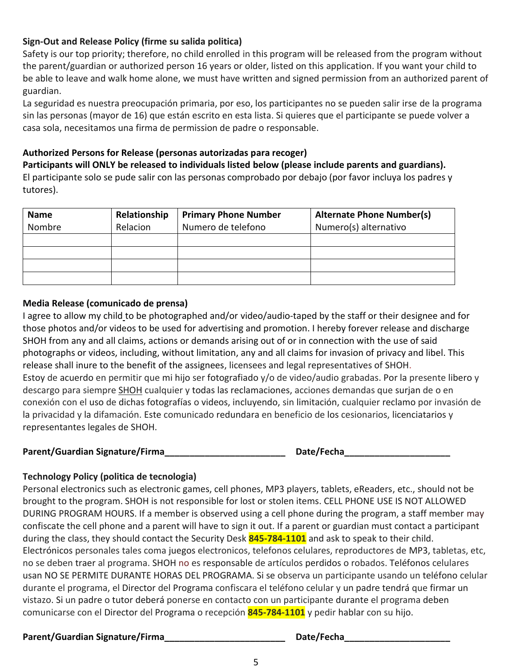#### **Sign-Out and Release Policy (firme su salida politica)**

Safety is our top priority; therefore, no child enrolled in this program will be released from the program without the parent/guardian or authorized person 16 years or older, listed on this application. If you want your child to be able to leave and walk home alone, we must have written and signed permission from an authorized parent of guardian.

La seguridad es nuestra preocupación primaria, por eso, los participantes no se pueden salir irse de la programa sin las personas (mayor de 16) que están escrito en esta lista. Si quieres que el participante se puede volver a casa sola, necesitamos una firma de permission de padre o responsable.

## **Authorized Persons for Release (personas autorizadas para recoger)**

**Participants will ONLY be released to individuals listed below (please include parents and guardians).**  El participante solo se pude salir con las personas comprobado por debajo (por favor incluya los padres y tutores).

| <b>Name</b><br>Nombre | Relationship<br>Relacion | <b>Primary Phone Number</b><br>Numero de telefono | <b>Alternate Phone Number(s)</b><br>Numero(s) alternativo |
|-----------------------|--------------------------|---------------------------------------------------|-----------------------------------------------------------|
|                       |                          |                                                   |                                                           |
|                       |                          |                                                   |                                                           |
|                       |                          |                                                   |                                                           |
|                       |                          |                                                   |                                                           |

#### **Media Release (comunicado de prensa)**

I agree to allow my child to be photographed and/or video/audio-taped by the staff or their designee and for those photos and/or videos to be used for advertising and promotion. I hereby forever release and discharge SHOH from any and all claims, actions or demands arising out of or in connection with the use of said photographs or videos, including, without limitation, any and all claims for invasion of privacy and libel. This release shall inure to the benefit of the assignees, licensees and legal representatives of SHOH. Estoy de acuerdo en permitir que mi hijo ser fotografiado y/o de video/audio grabadas. Por la presente libero y descargo para siempre SHOH cualquier y todas las reclamaciones, acciones demandas que surjan de o en conexión con el uso de dichas fotografías o videos, incluyendo, sin limitación, cualquier reclamo por invasión de la privacidad y la difamación. Este comunicado redundara en beneficio de los cesionarios, licenciatarios y representantes legales de SHOH.

#### Parent/Guardian Signature/Firma **butter and the contract of Date/Fecha**

#### **Technology Policy (politica de tecnologia)**

Personal electronics such as electronic games, cell phones, MP3 players, tablets, eReaders, etc., should not be brought to the program. SHOH is not responsible for lost or stolen items. CELL PHONE USE IS NOT ALLOWED DURING PROGRAM HOURS. If a member is observed using a cell phone during the program, a staff member may confiscate the cell phone and a parent will have to sign it out. If a parent or guardian must contact a participant during the class, they should contact the Security Desk **845-784-1101** and ask to speak to their child. Electrónicos personales tales coma juegos electronicos, telefonos celulares, reproductores de MP3, tabletas, etc, no se deben traer al programa. SHOH no es responsable de artículos perdidos o robados. Teléfonos celulares usan NO SE PERMITE DURANTE HORAS DEL PROGRAMA. Si se observa un participante usando un teléfono celular durante el programa, el Director del Programa confiscara el teléfono celular y un padre tendrá que firmar un vistazo. Si un padre o tutor deberá ponerse en contacto con un participante durante el programa deben comunicarse con el Director del Programa o recepción **845-784-1101** y pedir hablar con su hijo.

#### Parent/Guardian Signature/Firma **butter and the contract of Date/Fecha**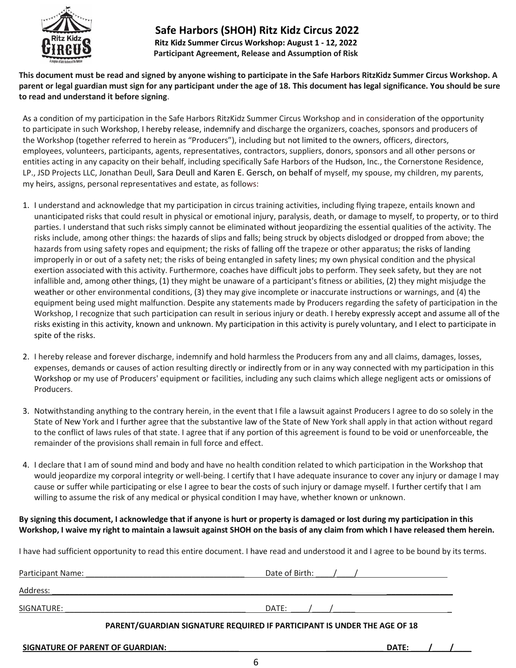

#### **Safe Harbors (SHOH) Ritz Kidz Circus 2022 Ritz Kidz Summer Circus Workshop: August 1 - 12, 2022 Participant Agreement, Release and Assumption of Risk**

**This document must be read and signed by anyone wishing to participate in the Safe Harbors RitzKidz Summer Circus Workshop. A parent or legal guardian must sign for any participant under the age of 18. This document has legal significance. You should be sure to read and understand it before signing**.

As a condition of my participation in the Safe Harbors RitzKidz Summer Circus Workshop and in consideration of the opportunity to participate in such Workshop, I hereby release, indemnify and discharge the organizers, coaches, sponsors and producers of the Workshop (together referred to herein as "Producers"), including but not limited to the owners, officers, directors, employees, volunteers, participants, agents, representatives, contractors, suppliers, donors, sponsors and all other persons or entities acting in any capacity on their behalf, including specifically Safe Harbors of the Hudson, Inc., the Cornerstone Residence, LP., JSD Projects LLC, Jonathan Deull, Sara Deull and Karen E. Gersch, on behalf of myself, my spouse, my children, my parents, my heirs, assigns, personal representatives and estate, as follows:

- 1. I understand and acknowledge that my participation in circus training activities, including flying trapeze, entails known and unanticipated risks that could result in physical or emotional injury, paralysis, death, or damage to myself, to property, or to third parties. I understand that such risks simply cannot be eliminated without jeopardizing the essential qualities of the activity. The risks include, among other things: the hazards of slips and falls; being struck by objects dislodged or dropped from above; the hazards from using safety ropes and equipment; the risks of falling off the trapeze or other apparatus; the risks of landing improperly in or out of a safety net; the risks of being entangled in safety lines; my own physical condition and the physical exertion associated with this activity. Furthermore, coaches have difficult jobs to perform. They seek safety, but they are not infallible and, among other things, (1) they might be unaware of a participant's fitness or abilities, (2) they might misjudge the weather or other environmental conditions, (3) they may give incomplete or inaccurate instructions or warnings, and (4) the equipment being used might malfunction. Despite any statements made by Producers regarding the safety of participation in the Workshop, I recognize that such participation can result in serious injury or death. I hereby expressly accept and assume all of the risks existing in this activity, known and unknown. My participation in this activity is purely voluntary, and I elect to participate in spite of the risks.
- 2. I hereby release and forever discharge, indemnify and hold harmless the Producers from any and all claims, damages, losses, expenses, demands or causes of action resulting directly or indirectly from or in any way connected with my participation in this Workshop or my use of Producers' equipment or facilities, including any such claims which allege negligent acts or omissions of Producers.
- 3. Notwithstanding anything to the contrary herein, in the event that I file a lawsuit against Producers I agree to do so solely in the State of New York and I further agree that the substantive law of the State of New York shall apply in that action without regard to the conflict of laws rules of that state. I agree that if any portion of this agreement is found to be void or unenforceable, the remainder of the provisions shall remain in full force and effect.
- 4. I declare that I am of sound mind and body and have no health condition related to which participation in the Workshop that would jeopardize my corporal integrity or well-being. I certify that I have adequate insurance to cover any injury or damage I may cause or suffer while participating or else I agree to bear the costs of such injury or damage myself. I further certify that I am willing to assume the risk of any medical or physical condition I may have, whether known or unknown.

**By signing this document, I acknowledge that if anyone is hurt or property is damaged or lost during my participation in this Workshop, I waive my right to maintain a lawsuit against SHOH on the basis of any claim from which I have released them herein.**

I have had sufficient opportunity to read this entire document. I have read and understood it and I agree to be bound by its terms.

| Participant Name:                                                        | Date of Birth: |  |  |  |
|--------------------------------------------------------------------------|----------------|--|--|--|
| Address:                                                                 |                |  |  |  |
| SIGNATURE:                                                               | DATE:          |  |  |  |
| PARENT/GUARDIAN SIGNATURE REQUIRED IF PARTICIPANT IS UNDER THE AGE OF 18 |                |  |  |  |

| <b>SIGNATURE OF PARENT OF GUARDIAN:</b> | <b>DATE</b> |  |
|-----------------------------------------|-------------|--|
|                                         |             |  |

6